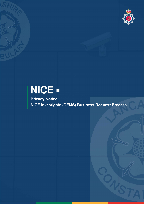

# NICE -

Privacy Notice NICE Investigate (DEMS) Business Request Process.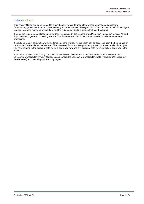#### Introduction

This Privacy Notice has been created to make it easier for you to understand what personal data Lancashire Constabulary processes about you, how and why in connection with the registration of businesses into NICE investigate (a digital evidence management solution) and the subsequent digital evidence that may be shared.

It meets the requirements placed upon the Chief Constable by the General Data Protection Regulation (Articles 13 and 14) in relation to general processing and the Data Protection Act 2018 (Section 44) in relation to law enforcement processing.

It should be read in conjunction with, the force's general Privacy Notice which can be accessed from the home page of Lancashire Constabulary's internet site. This high-level Privacy Notice provides you with complete details of the rights you have relating to the personal data we hold about you now and any personal data we might collect about you in the future.

If you have received a hard copy of this Notice and do not have access to the internet but require a copy of the Lancashire Constabulary Privacy Notice, please contact the Lancashire Constabulary Data Protection Office (contact details below) and they will provide a copy to you.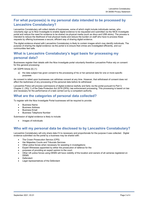## For what purpose(s) is my personal data intended to be processed by Lancashire Constabulary?

Lancashire Constabulary will collect details of businesses, some of which might include individuals names, who voluntarily sign up to Nice Investigate to enable digital evidence to be requested and submitted via the NICE Investigate portal and reduce the need for evidence to be shared via physical media (such as discs and USB sticks). The process is intended to reduce the likelihood of lost physical media and reduce the burden on staff who have to process these requests by offering businesses a secure, efficient way of sharing digital evidence.

The digital evidence shared with Lancashire Constabulary is likely to contain images which may identify individuals. The purpose of sharing the digital evidence via the portal is to ensure that crimes are investigated efficiently, and our communities feel safe.

### What is Lancashire Constabulary's legal basis for processing my personal data?

Businesses register their details with the Nice Investigate portal voluntarily therefore Lancashire Police rely on consent for this general processing:

UK GDPR Article (6) (1):

a) the data subject has given consent to the processing of his or her personal data for one or more specific purposes

As consent is relied upon businesses can withdraw consent at any time. However, that withdrawal of consent does not affect the lawfulness of any processing of the personal data before its withdrawal

Lancashire Police will process submissions of digital evidence lawfully and fairly via the portal pursuant to Part 3, Chapter 2, (35)( 1) of the Data Protection Act 2018 (DPA); law enforcement processing. This processing is based on law and necessary for the performance of a task carried out by a competent authority.

#### What are the categories of personal data collected?

To register with the Nice Investigate Portal businesses will be required to provide:

- Business Name
- Business Address
- Business Email
- Business Telephone Number

Submission of digital evidence is likely to include:

Images of individuals

#### Who will my personal data be disclosed to by Lancashire Constabulary?

Lancashire Constabulary will only share data if it is necessary and proportionate for the purpose it was collected. Digital evidence submitted via the portal by a business may be shared with:

- The Crown Prosecution Service (CPS)
- Her Majesties Courts and Tribunals Services
- Other police forces when necessary for assisting in investigations
- Expert Witnesses appointed by either the prosecution of defence for the
- purposes of providing an expert opinion to the court.
- Other UK police forces using DEMS will have visibility of the location and owners of all cameras registered on DEMS.
- Defendant
- Legal representatives of the Defendant